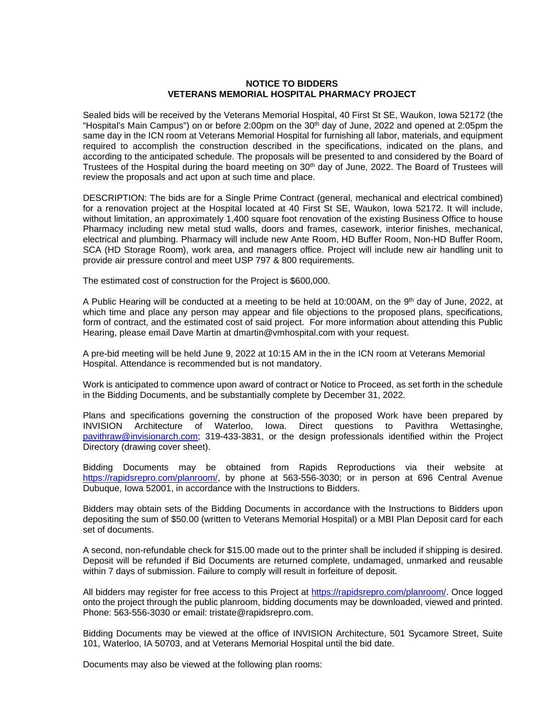## **NOTICE TO BIDDERS VETERANS MEMORIAL HOSPITAL PHARMACY PROJECT**

Sealed bids will be received by the Veterans Memorial Hospital, 40 First St SE, Waukon, Iowa 52172 (the "Hospital's Main Campus") on or before 2:00pm on the  $30<sup>th</sup>$  day of June, 2022 and opened at 2:05pm the same day in the ICN room at Veterans Memorial Hospital for furnishing all labor, materials, and equipment required to accomplish the construction described in the specifications, indicated on the plans, and according to the anticipated schedule. The proposals will be presented to and considered by the Board of Trustees of the Hospital during the board meeting on 30<sup>th</sup> day of June, 2022. The Board of Trustees will review the proposals and act upon at such time and place.

DESCRIPTION: The bids are for a Single Prime Contract (general, mechanical and electrical combined) for a renovation project at the Hospital located at 40 First St SE, Waukon, Iowa 52172. It will include, without limitation, an approximately 1,400 square foot renovation of the existing Business Office to house Pharmacy including new metal stud walls, doors and frames, casework, interior finishes, mechanical, electrical and plumbing. Pharmacy will include new Ante Room, HD Buffer Room, Non-HD Buffer Room, SCA (HD Storage Room), work area, and managers office. Project will include new air handling unit to provide air pressure control and meet USP 797 & 800 requirements.

The estimated cost of construction for the Project is \$600,000.

A Public Hearing will be conducted at a meeting to be held at 10:00AM, on the 9th day of June, 2022, at which time and place any person may appear and file objections to the proposed plans, specifications, form of contract, and the estimated cost of said project. For more information about attending this Public Hearing, please email Dave Martin at dmartin@vmhospital.com with your request.

A pre-bid meeting will be held June 9, 2022 at 10:15 AM in the in the ICN room at Veterans Memorial Hospital. Attendance is recommended but is not mandatory.

Work is anticipated to commence upon award of contract or Notice to Proceed, as set forth in the schedule in the Bidding Documents, and be substantially complete by December 31, 2022.

Plans and specifications governing the construction of the proposed Work have been prepared by INVISION Architecture of Waterloo, Iowa. Direct questions to Pavithra Wettasinghe, pavithraw@invisionarch.com; 319-433-3831, or the design professionals identified within the Project Directory (drawing cover sheet).

Bidding Documents may be obtained from Rapids Reproductions via their website at https://rapidsrepro.com/planroom/, by phone at 563-556-3030; or in person at 696 Central Avenue Dubuque, Iowa 52001, in accordance with the Instructions to Bidders.

Bidders may obtain sets of the Bidding Documents in accordance with the Instructions to Bidders upon depositing the sum of \$50.00 (written to Veterans Memorial Hospital) or a MBI Plan Deposit card for each set of documents.

A second, non-refundable check for \$15.00 made out to the printer shall be included if shipping is desired. Deposit will be refunded if Bid Documents are returned complete, undamaged, unmarked and reusable within 7 days of submission. Failure to comply will result in forfeiture of deposit.

All bidders may register for free access to this Project at https://rapidsrepro.com/planroom/. Once logged onto the project through the public planroom, bidding documents may be downloaded, viewed and printed. Phone: 563-556-3030 or email: tristate@rapidsrepro.com.

Bidding Documents may be viewed at the office of INVISION Architecture, 501 Sycamore Street, Suite 101, Waterloo, IA 50703, and at Veterans Memorial Hospital until the bid date.

Documents may also be viewed at the following plan rooms: